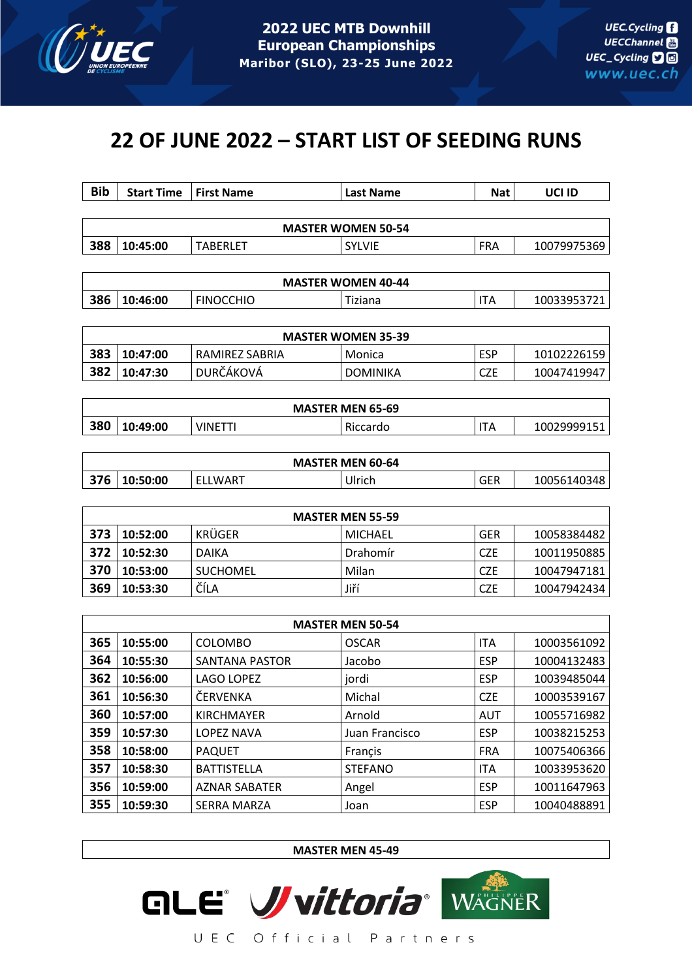

# **22 OF JUNE 2022 – START LIST OF SEEDING RUNS**

| <b>Bib</b>                | <b>Start Time</b> | <b>First Name</b> | <b>Last Name</b>          | <b>Nat</b> | UCI ID      |  |  |  |
|---------------------------|-------------------|-------------------|---------------------------|------------|-------------|--|--|--|
|                           |                   |                   |                           |            |             |  |  |  |
|                           |                   |                   | <b>MASTER WOMEN 50-54</b> |            |             |  |  |  |
| 388                       | 10:45:00          | <b>TABERLET</b>   | <b>SYLVIE</b>             | <b>FRA</b> | 10079975369 |  |  |  |
|                           |                   |                   |                           |            |             |  |  |  |
|                           |                   |                   | <b>MASTER WOMEN 40-44</b> |            |             |  |  |  |
| 386                       | 10:46:00          | <b>FINOCCHIO</b>  | Tiziana                   | <b>ITA</b> | 10033953721 |  |  |  |
|                           |                   |                   |                           |            |             |  |  |  |
| <b>MASTER WOMEN 35-39</b> |                   |                   |                           |            |             |  |  |  |
| 383                       | 10:47:00          | RAMIREZ SABRIA    | Monica                    | <b>ESP</b> | 10102226159 |  |  |  |
| 382                       | 10:47:30          | DURČÁKOVÁ         | <b>DOMINIKA</b>           | <b>CZE</b> | 10047419947 |  |  |  |

| <b>MASTER MEN 65-69</b> |          |        |          |   |             |  |  |
|-------------------------|----------|--------|----------|---|-------------|--|--|
| 380                     | 10:49:00 | VINETT | Riccardo | H | 10029999151 |  |  |

| <b>MASTER MEN 60-64</b> |          |         |        |     |             |  |
|-------------------------|----------|---------|--------|-----|-------------|--|
| 376                     | 10:50:00 | ELLWART | Ulrich | GER | 10056140348 |  |

| <b>MASTER MEN 55-59</b> |          |                 |          |            |             |  |  |
|-------------------------|----------|-----------------|----------|------------|-------------|--|--|
| 373                     | 10:52:00 | KRÜGER          | MICHAEL  | <b>GER</b> | 10058384482 |  |  |
| 372                     | 10:52:30 | <b>DAIKA</b>    | Drahomír | <b>CZE</b> | 10011950885 |  |  |
| 370                     | 10:53:00 | <b>SUCHOMEL</b> | Milan    | <b>CZE</b> | 10047947181 |  |  |
| 369                     | 10:53:30 | ČÍLA            | Jiří     | <b>CZE</b> | 10047942434 |  |  |

| <b>MASTER MEN 50-54</b> |          |                       |                |            |             |  |  |  |
|-------------------------|----------|-----------------------|----------------|------------|-------------|--|--|--|
| 365                     | 10:55:00 | <b>COLOMBO</b>        | <b>OSCAR</b>   | <b>ITA</b> | 10003561092 |  |  |  |
| 364                     | 10:55:30 | <b>SANTANA PASTOR</b> | Jacobo         | <b>ESP</b> | 10004132483 |  |  |  |
| 362                     | 10:56:00 | LAGO LOPEZ            | jordi          | <b>ESP</b> | 10039485044 |  |  |  |
| 361                     | 10:56:30 | ČERVENKA              | Michal         | <b>CZE</b> | 10003539167 |  |  |  |
| 360                     | 10:57:00 | <b>KIRCHMAYER</b>     | Arnold         | AUT        | 10055716982 |  |  |  |
| 359                     | 10:57:30 | <b>LOPEZ NAVA</b>     | Juan Francisco | <b>ESP</b> | 10038215253 |  |  |  |
| 358                     | 10:58:00 | <b>PAQUET</b>         | Françis        | <b>FRA</b> | 10075406366 |  |  |  |
| 357                     | 10:58:30 | <b>BATTISTELLA</b>    | <b>STEFANO</b> | <b>ITA</b> | 10033953620 |  |  |  |
| 356                     | 10:59:00 | <b>AZNAR SABATER</b>  | Angel          | <b>ESP</b> | 10011647963 |  |  |  |
| 355                     | 10:59:30 | <b>SERRA MARZA</b>    | Joan           | <b>ESP</b> | 10040488891 |  |  |  |

**MASTER MEN 45-49**

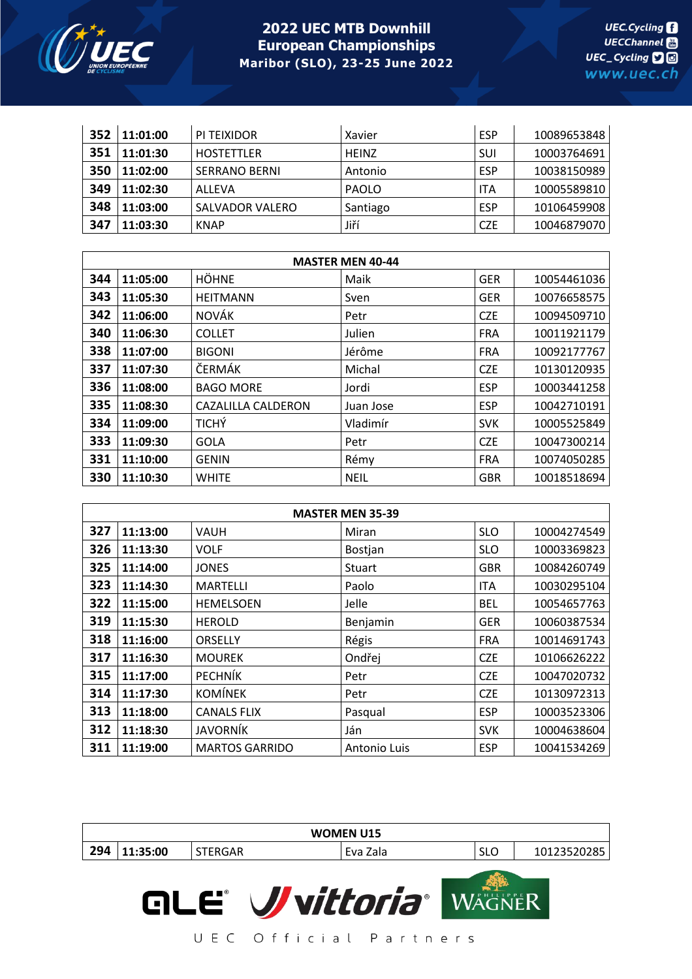

| 352 | 11:01:00 | PI TEIXIDOR          | Xavier       | <b>ESP</b> | 10089653848 |
|-----|----------|----------------------|--------------|------------|-------------|
| 351 | 11:01:30 | <b>HOSTETTLER</b>    | <b>HEINZ</b> | SUI        | 10003764691 |
| 350 | 11:02:00 | <b>SERRANO BERNI</b> | Antonio      | <b>ESP</b> | 10038150989 |
| 349 | 11:02:30 | ALLEVA               | <b>PAOLO</b> | <b>ITA</b> | 10005589810 |
| 348 | 11:03:00 | SALVADOR VALERO      | Santiago     | <b>ESP</b> | 10106459908 |
| 347 | 11:03:30 | <b>KNAP</b>          | Jiří         | <b>CZE</b> | 10046879070 |

| <b>MASTER MEN 40-44</b> |          |                    |             |            |             |  |  |  |
|-------------------------|----------|--------------------|-------------|------------|-------------|--|--|--|
| 344                     | 11:05:00 | <b>HÖHNE</b>       | Maik        | <b>GER</b> | 10054461036 |  |  |  |
| 343                     | 11:05:30 | <b>HEITMANN</b>    | Sven        | <b>GER</b> | 10076658575 |  |  |  |
| 342                     | 11:06:00 | <b>NOVÁK</b>       | Petr        | <b>CZE</b> | 10094509710 |  |  |  |
| 340                     | 11:06:30 | <b>COLLET</b>      | Julien      | <b>FRA</b> | 10011921179 |  |  |  |
| 338                     | 11:07:00 | <b>BIGONI</b>      | Jérôme      | <b>FRA</b> | 10092177767 |  |  |  |
| 337                     | 11:07:30 | ČERMÁK             | Michal      | <b>CZE</b> | 10130120935 |  |  |  |
| 336                     | 11:08:00 | <b>BAGO MORE</b>   | Jordi       | <b>ESP</b> | 10003441258 |  |  |  |
| 335                     | 11:08:30 | CAZALILLA CALDERON | Juan Jose   | <b>ESP</b> | 10042710191 |  |  |  |
| 334                     | 11:09:00 | <b>TICHÝ</b>       | Vladimír    | <b>SVK</b> | 10005525849 |  |  |  |
| 333                     | 11:09:30 | <b>GOLA</b>        | Petr        | <b>CZE</b> | 10047300214 |  |  |  |
| 331                     | 11:10:00 | <b>GENIN</b>       | Rémy        | <b>FRA</b> | 10074050285 |  |  |  |
| 330                     | 11:10:30 | <b>WHITE</b>       | <b>NEIL</b> | <b>GBR</b> | 10018518694 |  |  |  |

| <b>MASTER MEN 35-39</b> |          |                       |              |            |             |  |  |
|-------------------------|----------|-----------------------|--------------|------------|-------------|--|--|
| 327                     | 11:13:00 | <b>VAUH</b>           | Miran        | <b>SLO</b> | 10004274549 |  |  |
| 326                     | 11:13:30 | <b>VOLF</b>           | Bostjan      | <b>SLO</b> | 10003369823 |  |  |
| 325                     | 11:14:00 | <b>JONES</b>          | Stuart       | <b>GBR</b> | 10084260749 |  |  |
| 323                     | 11:14:30 | <b>MARTELLI</b>       | Paolo        | <b>ITA</b> | 10030295104 |  |  |
| 322                     | 11:15:00 | <b>HEMELSOEN</b>      | Jelle        | <b>BEL</b> | 10054657763 |  |  |
| 319                     | 11:15:30 | <b>HEROLD</b>         | Benjamin     | <b>GER</b> | 10060387534 |  |  |
| 318                     | 11:16:00 | ORSELLY               | Régis        | <b>FRA</b> | 10014691743 |  |  |
| 317                     | 11:16:30 | <b>MOUREK</b>         | Ondřej       | <b>CZE</b> | 10106626222 |  |  |
| 315                     | 11:17:00 | <b>PECHNÍK</b>        | Petr         | <b>CZE</b> | 10047020732 |  |  |
| 314                     | 11:17:30 | <b>KOMÍNEK</b>        | Petr         | <b>CZE</b> | 10130972313 |  |  |
| 313                     | 11:18:00 | <b>CANALS FLIX</b>    | Pasqual      | <b>ESP</b> | 10003523306 |  |  |
| 312                     | 11:18:30 | JAVORNÍK              | Ján          | <b>SVK</b> | 10004638604 |  |  |
| 311                     | 11:19:00 | <b>MARTOS GARRIDO</b> | Antonio Luis | <b>ESP</b> | 10041534269 |  |  |

| <b>WOMEN U15</b> |          |                |          |            |             |  |  |
|------------------|----------|----------------|----------|------------|-------------|--|--|
| 294              | 11:35:00 | <b>STERGAR</b> | Eva Zala | <b>SLO</b> | 10123520285 |  |  |
|                  |          |                |          |            |             |  |  |

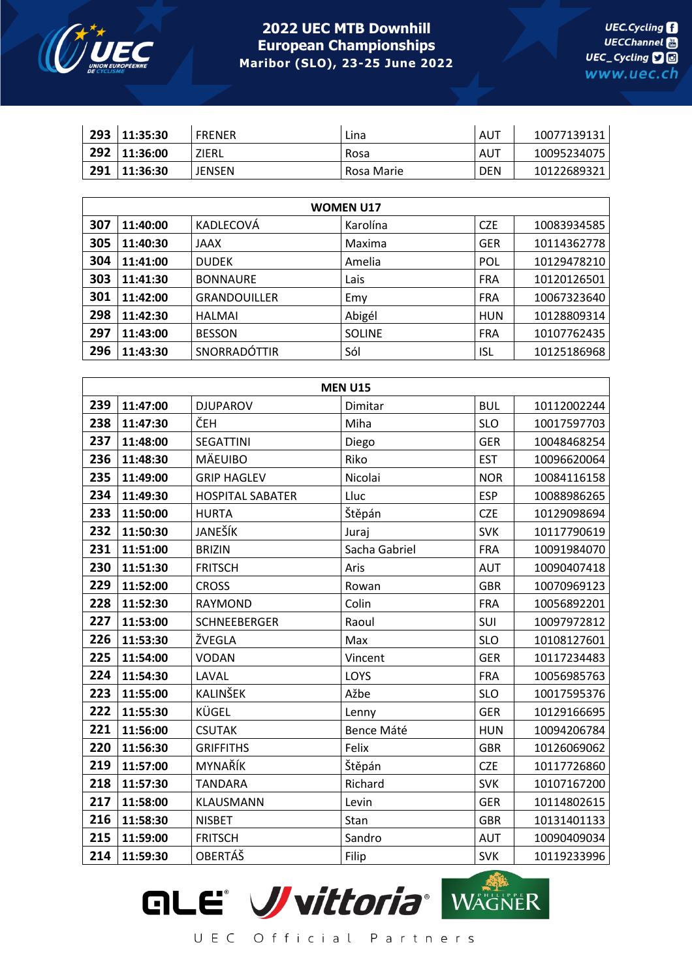

|     | 293 11:35:30 | <b>FRENER</b> | Lina       | AUT        | 10077139131 |
|-----|--------------|---------------|------------|------------|-------------|
|     | 292 11:36:00 | ZIERL         | Rosa       | AUT        | 10095234075 |
| 291 | 11:36:30     | <b>JENSEN</b> | Rosa Marie | <b>DEN</b> | 10122689321 |

| <b>WOMEN U17</b> |          |                     |               |            |             |  |  |  |
|------------------|----------|---------------------|---------------|------------|-------------|--|--|--|
| 307              | 11:40:00 | KADLECOVÁ           | Karolína      | <b>CZE</b> | 10083934585 |  |  |  |
| 305              | 11:40:30 | <b>JAAX</b>         | Maxima        | <b>GER</b> | 10114362778 |  |  |  |
| 304              | 11:41:00 | <b>DUDEK</b>        | Amelia        | <b>POL</b> | 10129478210 |  |  |  |
| 303              | 11:41:30 | <b>BONNAURE</b>     | Lais          | <b>FRA</b> | 10120126501 |  |  |  |
| 301              | 11:42:00 | <b>GRANDOUILLER</b> | Emy           | <b>FRA</b> | 10067323640 |  |  |  |
| 298              | 11:42:30 | <b>HALMAI</b>       | Abigél        | <b>HUN</b> | 10128809314 |  |  |  |
| 297              | 11:43:00 | <b>BESSON</b>       | <b>SOLINE</b> | <b>FRA</b> | 10107762435 |  |  |  |
| 296              | 11:43:30 | SNORRADÓTTIR        | Sól           | ISL        | 10125186968 |  |  |  |

|     | <b>MEN U15</b> |                         |               |            |             |  |  |  |
|-----|----------------|-------------------------|---------------|------------|-------------|--|--|--|
| 239 | 11:47:00       | <b>DJUPAROV</b>         | Dimitar       | <b>BUL</b> | 10112002244 |  |  |  |
| 238 | 11:47:30       | ČEH                     | Miha          | <b>SLO</b> | 10017597703 |  |  |  |
| 237 | 11:48:00       | <b>SEGATTINI</b>        | Diego         | <b>GER</b> | 10048468254 |  |  |  |
| 236 | 11:48:30       | <b>MÄEUIBO</b>          | Riko          | <b>EST</b> | 10096620064 |  |  |  |
| 235 | 11:49:00       | <b>GRIP HAGLEV</b>      | Nicolai       | <b>NOR</b> | 10084116158 |  |  |  |
| 234 | 11:49:30       | <b>HOSPITAL SABATER</b> | Lluc          | <b>ESP</b> | 10088986265 |  |  |  |
| 233 | 11:50:00       | <b>HURTA</b>            | Štěpán        | <b>CZE</b> | 10129098694 |  |  |  |
| 232 | 11:50:30       | JANEŠÍK                 | Juraj         | <b>SVK</b> | 10117790619 |  |  |  |
| 231 | 11:51:00       | <b>BRIZIN</b>           | Sacha Gabriel | <b>FRA</b> | 10091984070 |  |  |  |
| 230 | 11:51:30       | <b>FRITSCH</b>          | Aris          | <b>AUT</b> | 10090407418 |  |  |  |
| 229 | 11:52:00       | <b>CROSS</b>            | Rowan         | <b>GBR</b> | 10070969123 |  |  |  |
| 228 | 11:52:30       | RAYMOND                 | Colin         | <b>FRA</b> | 10056892201 |  |  |  |
| 227 | 11:53:00       | <b>SCHNEEBERGER</b>     | Raoul         | SUI        | 10097972812 |  |  |  |
| 226 | 11:53:30       | ŽVEGLA                  | Max           | <b>SLO</b> | 10108127601 |  |  |  |
| 225 | 11:54:00       | <b>VODAN</b>            | Vincent       | <b>GER</b> | 10117234483 |  |  |  |
| 224 | 11:54:30       | LAVAL                   | LOYS          | <b>FRA</b> | 10056985763 |  |  |  |
| 223 | 11:55:00       | <b>KALINŠEK</b>         | Ažbe          | <b>SLO</b> | 10017595376 |  |  |  |
| 222 | 11:55:30       | KÜGEL                   | Lenny         | <b>GER</b> | 10129166695 |  |  |  |
| 221 | 11:56:00       | <b>CSUTAK</b>           | Bence Máté    | <b>HUN</b> | 10094206784 |  |  |  |
| 220 | 11:56:30       | <b>GRIFFITHS</b>        | Felix         | <b>GBR</b> | 10126069062 |  |  |  |
| 219 | 11:57:00       | MYNAŘÍK                 | Štěpán        | <b>CZE</b> | 10117726860 |  |  |  |
| 218 | 11:57:30       | <b>TANDARA</b>          | Richard       | <b>SVK</b> | 10107167200 |  |  |  |
| 217 | 11:58:00       | <b>KLAUSMANN</b>        | Levin         | <b>GER</b> | 10114802615 |  |  |  |
| 216 | 11:58:30       | <b>NISBET</b>           | Stan          | <b>GBR</b> | 10131401133 |  |  |  |
| 215 | 11:59:00       | <b>FRITSCH</b>          | Sandro        | <b>AUT</b> | 10090409034 |  |  |  |
| 214 | 11:59:30       | OBERTÁŠ                 | Filip         | <b>SVK</b> | 10119233996 |  |  |  |

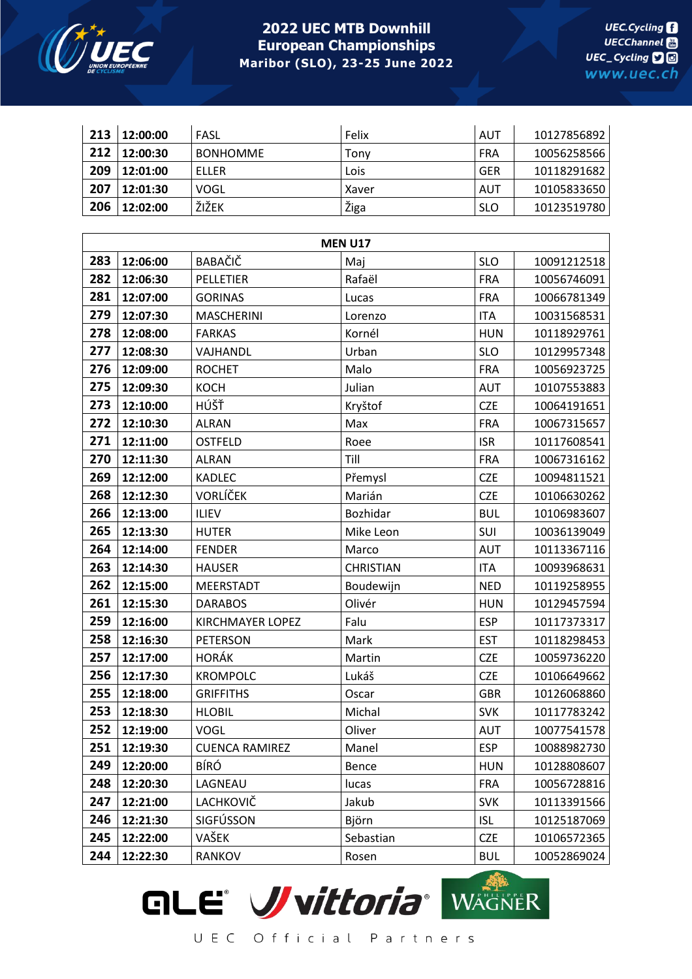

| 213 | 12:00:00 | FASL                    | Felix            | <b>AUT</b> | 10127856892 |
|-----|----------|-------------------------|------------------|------------|-------------|
| 212 | 12:00:30 | <b>BONHOMME</b>         | Tony             | <b>FRA</b> | 10056258566 |
| 209 | 12:01:00 | <b>ELLER</b>            | Lois             | <b>GER</b> | 10118291682 |
| 207 | 12:01:30 | <b>VOGL</b>             | Xaver            | <b>AUT</b> | 10105833650 |
| 206 | 12:02:00 | ŽIŽEK                   | Žiga             | <b>SLO</b> | 10123519780 |
|     |          |                         |                  |            |             |
|     |          |                         | <b>MEN U17</b>   |            |             |
| 283 | 12:06:00 | BABAČIČ                 | Maj              | <b>SLO</b> | 10091212518 |
| 282 | 12:06:30 | <b>PELLETIER</b>        | Rafaël           | <b>FRA</b> | 10056746091 |
| 281 | 12:07:00 | <b>GORINAS</b>          | Lucas            | <b>FRA</b> | 10066781349 |
| 279 | 12:07:30 | <b>MASCHERINI</b>       | Lorenzo          | <b>ITA</b> | 10031568531 |
| 278 | 12:08:00 | <b>FARKAS</b>           | Kornél           | <b>HUN</b> | 10118929761 |
| 277 | 12:08:30 | VAJHANDL                | Urban            | <b>SLO</b> | 10129957348 |
| 276 | 12:09:00 | <b>ROCHET</b>           | Malo             | <b>FRA</b> | 10056923725 |
| 275 | 12:09:30 | <b>KOCH</b>             | Julian           | AUT        | 10107553883 |
| 273 | 12:10:00 | HÚŠŤ                    | Kryštof          | <b>CZE</b> | 10064191651 |
| 272 | 12:10:30 | <b>ALRAN</b>            | Max              | <b>FRA</b> | 10067315657 |
| 271 | 12:11:00 | <b>OSTFELD</b>          | Roee             | <b>ISR</b> | 10117608541 |
| 270 | 12:11:30 | <b>ALRAN</b>            | Till             | <b>FRA</b> | 10067316162 |
| 269 | 12:12:00 | <b>KADLEC</b>           | Přemysl          | <b>CZE</b> | 10094811521 |
| 268 | 12:12:30 | <b>VORLÍČEK</b>         | Marián           | <b>CZE</b> | 10106630262 |
| 266 | 12:13:00 | <b>ILIEV</b>            | Bozhidar         | <b>BUL</b> | 10106983607 |
| 265 | 12:13:30 | <b>HUTER</b>            | Mike Leon        | SUI        | 10036139049 |
| 264 | 12:14:00 | <b>FENDER</b>           | Marco            | <b>AUT</b> | 10113367116 |
| 263 | 12:14:30 | <b>HAUSER</b>           | <b>CHRISTIAN</b> | <b>ITA</b> | 10093968631 |
| 262 | 12:15:00 | <b>MEERSTADT</b>        | Boudewijn        | <b>NED</b> | 10119258955 |
| 261 | 12:15:30 | <b>DARABOS</b>          | Olivér           | <b>HUN</b> | 10129457594 |
| 259 | 12:16:00 | <b>KIRCHMAYER LOPEZ</b> | Falu             | <b>ESP</b> | 10117373317 |
| 258 | 12:16:30 | <b>PETERSON</b>         | Mark             | <b>EST</b> | 10118298453 |
| 257 | 12:17:00 | <b>HORÁK</b>            | Martin           | <b>CZE</b> | 10059736220 |
| 256 | 12:17:30 | <b>KROMPOLC</b>         | Lukáš            | <b>CZE</b> | 10106649662 |
| 255 | 12:18:00 | <b>GRIFFITHS</b>        | Oscar            | <b>GBR</b> | 10126068860 |
| 253 | 12:18:30 | <b>HLOBIL</b>           | Michal           | <b>SVK</b> | 10117783242 |
| 252 | 12:19:00 | <b>VOGL</b>             | Oliver           | <b>AUT</b> | 10077541578 |
| 251 | 12:19:30 | <b>CUENCA RAMIREZ</b>   | Manel            | <b>ESP</b> | 10088982730 |
| 249 | 12:20:00 | <b>BÍRÓ</b>             | Bence            | <b>HUN</b> | 10128808607 |
| 248 | 12:20:30 | LAGNEAU                 | lucas            | <b>FRA</b> | 10056728816 |
| 247 | 12:21:00 | LACHKOVIČ               | Jakub            | <b>SVK</b> | 10113391566 |
| 246 | 12:21:30 | SIGFÚSSON               | Björn            | <b>ISL</b> | 10125187069 |
| 245 | 12:22:00 | VAŠEK                   | Sebastian        | <b>CZE</b> | 10106572365 |
| 244 | 12:22:30 | <b>RANKOV</b>           | Rosen            | <b>BUL</b> | 10052869024 |

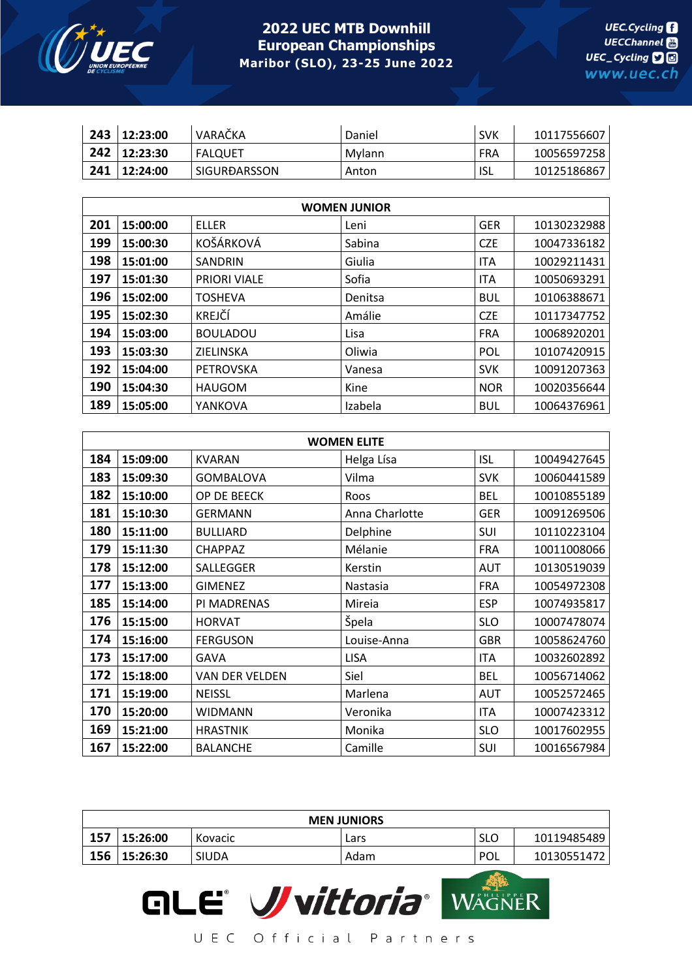

| 243 | 12:23:00     | VARAČKA        | Daniel | <b>SVK</b> | 10117556607 |
|-----|--------------|----------------|--------|------------|-------------|
| 242 | 12:23:30     | <b>FALQUET</b> | Mvlann | FRA        | 10056597258 |
|     | 241 12:24:00 | SIGURÐARSSON   | Anton  | <b>ISL</b> | 10125186867 |

| <b>WOMEN JUNIOR</b> |          |                     |         |            |             |  |
|---------------------|----------|---------------------|---------|------------|-------------|--|
| 201                 | 15:00:00 | <b>ELLER</b>        | Leni    | <b>GER</b> | 10130232988 |  |
| 199                 | 15:00:30 | KOŠÁRKOVÁ           | Sabina  | <b>CZE</b> | 10047336182 |  |
| 198                 | 15:01:00 | <b>SANDRIN</b>      | Giulia  | <b>ITA</b> | 10029211431 |  |
| 197                 | 15:01:30 | <b>PRIORI VIALE</b> | Sofia   | <b>ITA</b> | 10050693291 |  |
| 196                 | 15:02:00 | <b>TOSHEVA</b>      | Denitsa | <b>BUL</b> | 10106388671 |  |
| 195                 | 15:02:30 | KREJČÍ              | Amálie  | <b>CZE</b> | 10117347752 |  |
| 194                 | 15:03:00 | <b>BOULADOU</b>     | Lisa    | <b>FRA</b> | 10068920201 |  |
| 193                 | 15:03:30 | ZIELINSKA           | Oliwia  | <b>POL</b> | 10107420915 |  |
| 192                 | 15:04:00 | PETROVSKA           | Vanesa  | <b>SVK</b> | 10091207363 |  |
| 190                 | 15:04:30 | <b>HAUGOM</b>       | Kine    | <b>NOR</b> | 10020356644 |  |
| 189                 | 15:05:00 | YANKOVA             | Izabela | <b>BUL</b> | 10064376961 |  |

| <b>WOMEN ELITE</b> |          |                       |                |            |             |  |
|--------------------|----------|-----------------------|----------------|------------|-------------|--|
| 184                | 15:09:00 | <b>KVARAN</b>         | Helga Lísa     | <b>ISL</b> | 10049427645 |  |
| 183                | 15:09:30 | <b>GOMBALOVA</b>      | Vilma          | <b>SVK</b> | 10060441589 |  |
| 182                | 15:10:00 | OP DE BEECK           | Roos           | <b>BEL</b> | 10010855189 |  |
| 181                | 15:10:30 | <b>GERMANN</b>        | Anna Charlotte | <b>GER</b> | 10091269506 |  |
| 180                | 15:11:00 | <b>BULLIARD</b>       | Delphine       | SUI        | 10110223104 |  |
| 179                | 15:11:30 | <b>CHAPPAZ</b>        | Mélanie        | <b>FRA</b> | 10011008066 |  |
| 178                | 15:12:00 | SALLEGGER             | Kerstin        | AUT        | 10130519039 |  |
| 177                | 15:13:00 | <b>GIMENEZ</b>        | Nastasia       | <b>FRA</b> | 10054972308 |  |
| 185                | 15:14:00 | PI MADRENAS           | Mireia         | <b>ESP</b> | 10074935817 |  |
| 176                | 15:15:00 | <b>HORVAT</b>         | Špela          | <b>SLO</b> | 10007478074 |  |
| 174                | 15:16:00 | <b>FERGUSON</b>       | Louise-Anna    | <b>GBR</b> | 10058624760 |  |
| 173                | 15:17:00 | GAVA                  | <b>LISA</b>    | <b>ITA</b> | 10032602892 |  |
| 172                | 15:18:00 | <b>VAN DER VELDEN</b> | Siel           | <b>BEL</b> | 10056714062 |  |
| 171                | 15:19:00 | <b>NEISSL</b>         | Marlena        | <b>AUT</b> | 10052572465 |  |
| 170                | 15:20:00 | WIDMANN               | Veronika       | <b>ITA</b> | 10007423312 |  |
| 169                | 15:21:00 | <b>HRASTNIK</b>       | Monika         | <b>SLO</b> | 10017602955 |  |
| 167                | 15:22:00 | <b>BALANCHE</b>       | Camille        | SUI        | 10016567984 |  |

| <b>MEN JUNIORS</b> |          |              |      |            |             |
|--------------------|----------|--------------|------|------------|-------------|
| 157                | 15:26:00 | Kovacic      | Lars | SLO        | 10119485489 |
| 156                | 15:26:30 | <b>SIUDA</b> | Adam | <b>POL</b> | 10130551472 |

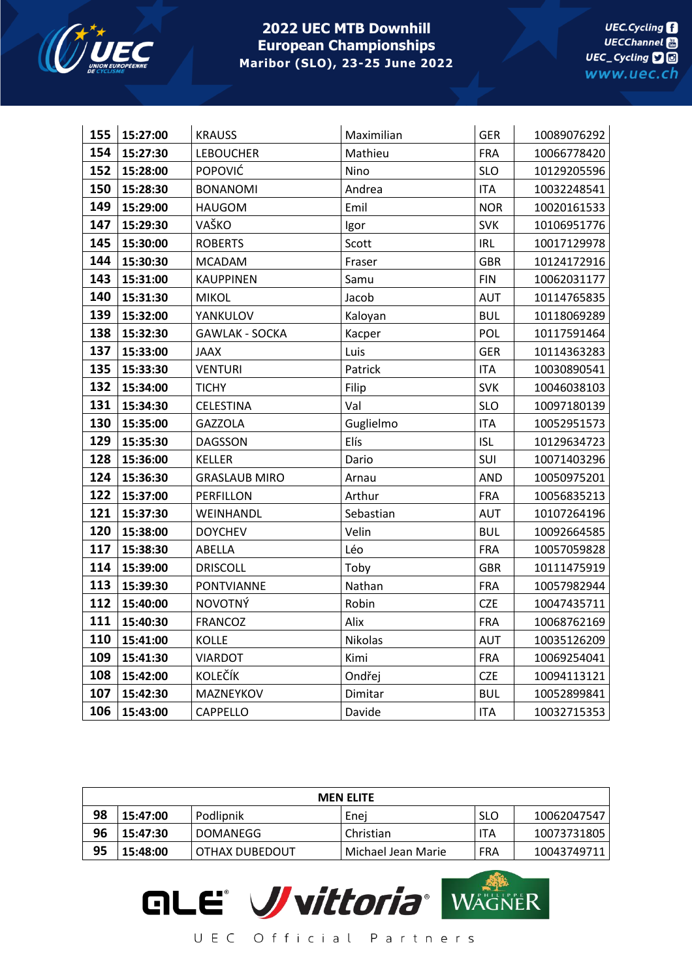

| 155 | 15:27:00 | <b>KRAUSS</b>         | Maximilian | <b>GER</b> | 10089076292 |
|-----|----------|-----------------------|------------|------------|-------------|
| 154 | 15:27:30 | <b>LEBOUCHER</b>      | Mathieu    | <b>FRA</b> | 10066778420 |
| 152 | 15:28:00 | POPOVIĆ               | Nino       | <b>SLO</b> | 10129205596 |
| 150 | 15:28:30 | <b>BONANOMI</b>       | Andrea     | <b>ITA</b> | 10032248541 |
| 149 | 15:29:00 | <b>HAUGOM</b>         | Emil       | <b>NOR</b> | 10020161533 |
| 147 | 15:29:30 | VAŠKO                 | Igor       | <b>SVK</b> | 10106951776 |
| 145 | 15:30:00 | <b>ROBERTS</b>        | Scott      | <b>IRL</b> | 10017129978 |
| 144 | 15:30:30 | <b>MCADAM</b>         | Fraser     | <b>GBR</b> | 10124172916 |
| 143 | 15:31:00 | <b>KAUPPINEN</b>      | Samu       | <b>FIN</b> | 10062031177 |
| 140 | 15:31:30 | <b>MIKOL</b>          | Jacob      | <b>AUT</b> | 10114765835 |
| 139 | 15:32:00 | YANKULOV              | Kaloyan    | <b>BUL</b> | 10118069289 |
| 138 | 15:32:30 | <b>GAWLAK - SOCKA</b> | Kacper     | POL        | 10117591464 |
| 137 | 15:33:00 | <b>JAAX</b>           | Luis       | <b>GER</b> | 10114363283 |
| 135 | 15:33:30 | <b>VENTURI</b>        | Patrick    | <b>ITA</b> | 10030890541 |
| 132 | 15:34:00 | <b>TICHY</b>          | Filip      | <b>SVK</b> | 10046038103 |
| 131 | 15:34:30 | <b>CELESTINA</b>      | Val        | <b>SLO</b> | 10097180139 |
| 130 | 15:35:00 | <b>GAZZOLA</b>        | Guglielmo  | <b>ITA</b> | 10052951573 |
| 129 | 15:35:30 | <b>DAGSSON</b>        | Elís       | <b>ISL</b> | 10129634723 |
| 128 | 15:36:00 | <b>KELLER</b>         | Dario      | SUI        | 10071403296 |
| 124 | 15:36:30 | <b>GRASLAUB MIRO</b>  | Arnau      | AND        | 10050975201 |
| 122 | 15:37:00 | PERFILLON             | Arthur     | <b>FRA</b> | 10056835213 |
| 121 | 15:37:30 | WEINHANDL             | Sebastian  | <b>AUT</b> | 10107264196 |
| 120 | 15:38:00 | <b>DOYCHEV</b>        | Velin      | <b>BUL</b> | 10092664585 |
| 117 | 15:38:30 | ABELLA                | Léo        | <b>FRA</b> | 10057059828 |
| 114 | 15:39:00 | <b>DRISCOLL</b>       | Toby       | <b>GBR</b> | 10111475919 |
| 113 | 15:39:30 | <b>PONTVIANNE</b>     | Nathan     | <b>FRA</b> | 10057982944 |
| 112 | 15:40:00 | <b>NOVOTNÝ</b>        | Robin      | <b>CZE</b> | 10047435711 |
| 111 | 15:40:30 | <b>FRANCOZ</b>        | Alix       | <b>FRA</b> | 10068762169 |
| 110 | 15:41:00 | <b>KOLLE</b>          | Nikolas    | <b>AUT</b> | 10035126209 |
| 109 | 15:41:30 | <b>VIARDOT</b>        | Kimi       | <b>FRA</b> | 10069254041 |
| 108 | 15:42:00 | <b>KOLEČÍK</b>        | Ondřej     | <b>CZE</b> | 10094113121 |
| 107 | 15:42:30 | MAZNEYKOV             | Dimitar    | <b>BUL</b> | 10052899841 |
| 106 | 15:43:00 | <b>CAPPELLO</b>       | Davide     | <b>ITA</b> | 10032715353 |

| <b>MEN ELITE</b> |          |                  |                    |            |             |
|------------------|----------|------------------|--------------------|------------|-------------|
| 98               | 15:47:00 | Podlipnik        | Enei               | <b>SLO</b> | 10062047547 |
| 96               | 15:47:30 | <b>DOMANEGG</b>  | Christian          | ITA        | 10073731805 |
| 95               | 15:48:00 | I OTHAX DUBEDOUT | Michael Jean Marie | FRA        | 10043749711 |

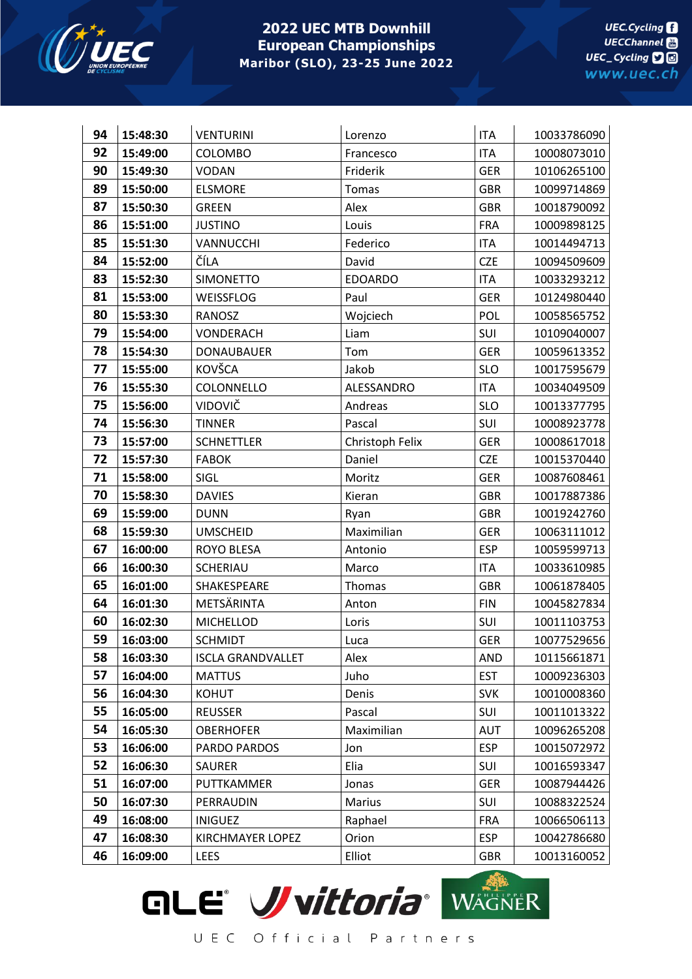

| 94 | 15:48:30 | <b>VENTURINI</b>         | Lorenzo         | <b>ITA</b> | 10033786090 |
|----|----------|--------------------------|-----------------|------------|-------------|
| 92 | 15:49:00 | <b>COLOMBO</b>           | Francesco       | <b>ITA</b> | 10008073010 |
| 90 | 15:49:30 | <b>VODAN</b>             | Friderik        | <b>GER</b> | 10106265100 |
| 89 | 15:50:00 | <b>ELSMORE</b>           | Tomas           | <b>GBR</b> | 10099714869 |
| 87 | 15:50:30 | <b>GREEN</b>             | Alex            | <b>GBR</b> | 10018790092 |
| 86 | 15:51:00 | <b>JUSTINO</b>           | Louis           | <b>FRA</b> | 10009898125 |
| 85 | 15:51:30 | VANNUCCHI                | Federico        | <b>ITA</b> | 10014494713 |
| 84 | 15:52:00 | ČÍLA                     | David           | <b>CZE</b> | 10094509609 |
| 83 | 15:52:30 | <b>SIMONETTO</b>         | <b>EDOARDO</b>  | <b>ITA</b> | 10033293212 |
| 81 | 15:53:00 | WEISSFLOG                | Paul            | <b>GER</b> | 10124980440 |
| 80 | 15:53:30 | <b>RANOSZ</b>            | Wojciech        | <b>POL</b> | 10058565752 |
| 79 | 15:54:00 | VONDERACH                | Liam            | SUI        | 10109040007 |
| 78 | 15:54:30 | <b>DONAUBAUER</b>        | Tom             | <b>GER</b> | 10059613352 |
| 77 | 15:55:00 | KOVŠCA                   | Jakob           | <b>SLO</b> | 10017595679 |
| 76 | 15:55:30 | COLONNELLO               | ALESSANDRO      | <b>ITA</b> | 10034049509 |
| 75 | 15:56:00 | VIDOVIČ                  | Andreas         | <b>SLO</b> | 10013377795 |
| 74 | 15:56:30 | <b>TINNER</b>            | Pascal          | SUI        | 10008923778 |
| 73 | 15:57:00 | <b>SCHNETTLER</b>        | Christoph Felix | <b>GER</b> | 10008617018 |
| 72 | 15:57:30 | <b>FABOK</b>             | Daniel          | <b>CZE</b> | 10015370440 |
| 71 | 15:58:00 | SIGL                     | Moritz          | <b>GER</b> | 10087608461 |
| 70 | 15:58:30 | <b>DAVIES</b>            | Kieran          | <b>GBR</b> | 10017887386 |
| 69 | 15:59:00 | <b>DUNN</b>              | Ryan            | <b>GBR</b> | 10019242760 |
| 68 | 15:59:30 | <b>UMSCHEID</b>          | Maximilian      | <b>GER</b> | 10063111012 |
| 67 | 16:00:00 | <b>ROYO BLESA</b>        | Antonio         | <b>ESP</b> | 10059599713 |
| 66 | 16:00:30 | <b>SCHERIAU</b>          | Marco           | <b>ITA</b> | 10033610985 |
| 65 | 16:01:00 | SHAKESPEARE              | Thomas          | <b>GBR</b> | 10061878405 |
| 64 | 16:01:30 | METSÄRINTA               | Anton           | <b>FIN</b> | 10045827834 |
| 60 | 16:02:30 | <b>MICHELLOD</b>         | Loris           | SUI        | 10011103753 |
| 59 | 16:03:00 | <b>SCHMIDT</b>           | Luca            | <b>GER</b> | 10077529656 |
| 58 | 16:03:30 | <b>ISCLA GRANDVALLET</b> | Alex            | <b>AND</b> | 10115661871 |
| 57 | 16:04:00 | <b>MATTUS</b>            | Juho            | <b>EST</b> | 10009236303 |
| 56 | 16:04:30 | <b>KOHUT</b>             | Denis           | <b>SVK</b> | 10010008360 |
| 55 | 16:05:00 | <b>REUSSER</b>           | Pascal          | SUI        | 10011013322 |
| 54 | 16:05:30 | <b>OBERHOFER</b>         | Maximilian      | <b>AUT</b> | 10096265208 |
| 53 | 16:06:00 | PARDO PARDOS             | Jon             | <b>ESP</b> | 10015072972 |
| 52 | 16:06:30 | SAURER                   | Elia            | SUI        | 10016593347 |
| 51 | 16:07:00 | PUTTKAMMER               | Jonas           | <b>GER</b> | 10087944426 |
| 50 | 16:07:30 | PERRAUDIN                | Marius          | SUI        | 10088322524 |
| 49 | 16:08:00 | <b>INIGUEZ</b>           | Raphael         | <b>FRA</b> | 10066506113 |
| 47 | 16:08:30 | <b>KIRCHMAYER LOPEZ</b>  | Orion           | <b>ESP</b> | 10042786680 |
| 46 | 16:09:00 | LEES                     | Elliot          | <b>GBR</b> | 10013160052 |

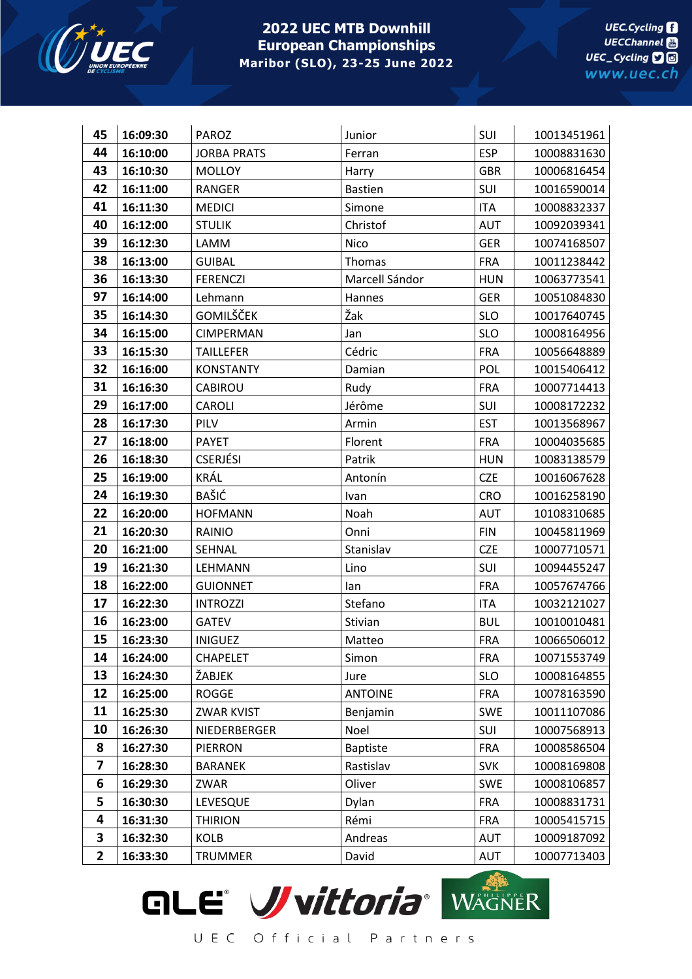

| 45           | 16:09:30 | <b>PAROZ</b>       | Junior          | SUI        | 10013451961 |
|--------------|----------|--------------------|-----------------|------------|-------------|
| 44           | 16:10:00 | <b>JORBA PRATS</b> | Ferran          | <b>ESP</b> | 10008831630 |
| 43           | 16:10:30 | <b>MOLLOY</b>      | Harry           | <b>GBR</b> | 10006816454 |
| 42           | 16:11:00 | <b>RANGER</b>      | <b>Bastien</b>  | SUI        | 10016590014 |
| 41           | 16:11:30 | <b>MEDICI</b>      | Simone          | <b>ITA</b> | 10008832337 |
| 40           | 16:12:00 | <b>STULIK</b>      | Christof        | <b>AUT</b> | 10092039341 |
| 39           | 16:12:30 | LAMM               | Nico            | <b>GER</b> | 10074168507 |
| 38           | 16:13:00 | <b>GUIBAL</b>      | Thomas          | <b>FRA</b> | 10011238442 |
| 36           | 16:13:30 | <b>FERENCZI</b>    | Marcell Sándor  | <b>HUN</b> | 10063773541 |
| 97           | 16:14:00 | Lehmann            | Hannes          | <b>GER</b> | 10051084830 |
| 35           | 16:14:30 | <b>GOMILŠČEK</b>   | Žak             | <b>SLO</b> | 10017640745 |
| 34           | 16:15:00 | <b>CIMPERMAN</b>   | Jan             | <b>SLO</b> | 10008164956 |
| 33           | 16:15:30 | <b>TAILLEFER</b>   | Cédric          | <b>FRA</b> | 10056648889 |
| 32           | 16:16:00 | <b>KONSTANTY</b>   | Damian          | POL        | 10015406412 |
| 31           | 16:16:30 | CABIROU            | Rudy            | <b>FRA</b> | 10007714413 |
| 29           | 16:17:00 | CAROLI             | Jérôme          | SUI        | 10008172232 |
| 28           | 16:17:30 | PILV               | Armin           | <b>EST</b> | 10013568967 |
| 27           | 16:18:00 | <b>PAYET</b>       | Florent         | <b>FRA</b> | 10004035685 |
| 26           | 16:18:30 | <b>CSERJÉSI</b>    | Patrik          | <b>HUN</b> | 10083138579 |
| 25           | 16:19:00 | KRÁL               | Antonín         | <b>CZE</b> | 10016067628 |
| 24           | 16:19:30 | BAŠIĆ              | Ivan            | <b>CRO</b> | 10016258190 |
| 22           | 16:20:00 | <b>HOFMANN</b>     | Noah            | <b>AUT</b> | 10108310685 |
| 21           | 16:20:30 | RAINIO             | Onni            | <b>FIN</b> | 10045811969 |
| 20           | 16:21:00 | SEHNAL             | Stanislav       | <b>CZE</b> | 10007710571 |
| 19           | 16:21:30 | LEHMANN            | Lino            | SUI        | 10094455247 |
| 18           | 16:22:00 | <b>GUIONNET</b>    | lan             | <b>FRA</b> | 10057674766 |
| 17           | 16:22:30 | <b>INTROZZI</b>    | Stefano         | <b>ITA</b> | 10032121027 |
| 16           | 16:23:00 | <b>GATEV</b>       | Stivian         | <b>BUL</b> | 10010010481 |
| 15           | 16:23:30 | <b>INIGUEZ</b>     | Matteo          | <b>FRA</b> | 10066506012 |
| 14           | 16:24:00 | <b>CHAPELET</b>    | Simon           | <b>FRA</b> | 10071553749 |
| 13           | 16:24:30 | ŽABJEK             | Jure            | <b>SLO</b> | 10008164855 |
| 12           | 16:25:00 | ROGGE              | <b>ANTOINE</b>  | <b>FRA</b> | 10078163590 |
| 11           | 16:25:30 | ZWAR KVIST         | Benjamin        | <b>SWE</b> | 10011107086 |
| 10           | 16:26:30 | NIEDERBERGER       | Noel            | SUI        | 10007568913 |
| 8            | 16:27:30 | <b>PIERRON</b>     | <b>Baptiste</b> | <b>FRA</b> | 10008586504 |
| 7            | 16:28:30 | <b>BARANEK</b>     | Rastislav       | <b>SVK</b> | 10008169808 |
| 6            | 16:29:30 | ZWAR               | Oliver          | <b>SWE</b> | 10008106857 |
| 5            | 16:30:30 | LEVESQUE           | Dylan           | <b>FRA</b> | 10008831731 |
| 4            | 16:31:30 | <b>THIRION</b>     | Rémi            | <b>FRA</b> | 10005415715 |
| 3            | 16:32:30 | KOLB               | Andreas         | <b>AUT</b> | 10009187092 |
| $\mathbf{2}$ | 16:33:30 | <b>TRUMMER</b>     | David           | <b>AUT</b> | 10007713403 |